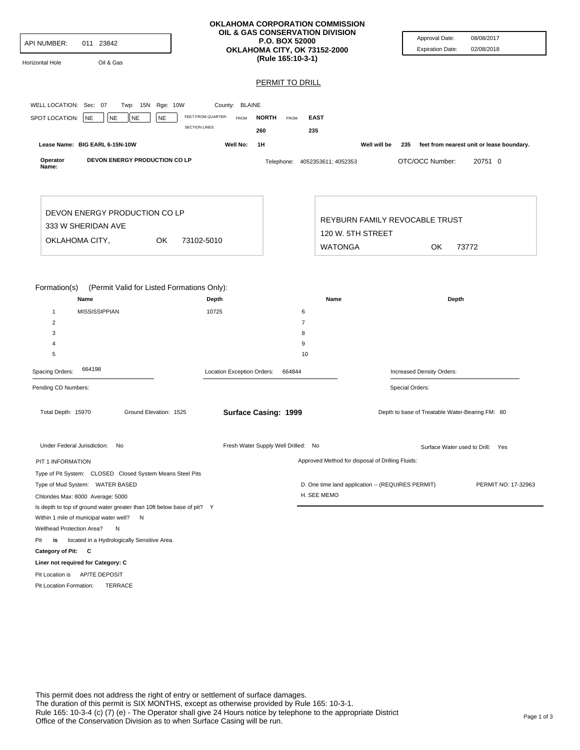| API NUMBER:<br>011 23842<br>Oil & Gas<br>Horizontal Hole                                                                                    |                            | <b>OKLAHOMA CORPORATION COMMISSION</b><br>OIL & GAS CONSERVATION DIVISION<br><b>P.O. BOX 52000</b><br>OKLAHOMA CITY, OK 73152-2000<br>(Rule 165:10-3-1) |                                                   | Approval Date:<br><b>Expiration Date:</b>       | 08/08/2017<br>02/08/2018                  |
|---------------------------------------------------------------------------------------------------------------------------------------------|----------------------------|---------------------------------------------------------------------------------------------------------------------------------------------------------|---------------------------------------------------|-------------------------------------------------|-------------------------------------------|
|                                                                                                                                             |                            | PERMIT TO DRILL                                                                                                                                         |                                                   |                                                 |                                           |
|                                                                                                                                             |                            |                                                                                                                                                         |                                                   |                                                 |                                           |
| WELL LOCATION: Sec: 07<br>Twp: 15N Rge: 10W                                                                                                 | County: BLAINE             |                                                                                                                                                         |                                                   |                                                 |                                           |
| SPOT LOCATION:<br><b>NE</b><br>NE<br><b>NE</b><br><b>NE</b>                                                                                 | FEET FROM QUARTER:<br>FROM | <b>NORTH</b><br><b>EAST</b><br>FROM                                                                                                                     |                                                   |                                                 |                                           |
|                                                                                                                                             | <b>SECTION LINES:</b>      | 260<br>235                                                                                                                                              |                                                   |                                                 |                                           |
| Lease Name: BIG EARL 6-15N-10W                                                                                                              | Well No:                   | 1H                                                                                                                                                      | Well will be                                      | 235                                             | feet from nearest unit or lease boundary. |
| Operator<br>DEVON ENERGY PRODUCTION CO LP<br>Name:                                                                                          |                            | Telephone: 4052353611; 4052353                                                                                                                          |                                                   | OTC/OCC Number:                                 | 20751 0                                   |
| DEVON ENERGY PRODUCTION CO LP                                                                                                               |                            |                                                                                                                                                         |                                                   | REYBURN FAMILY REVOCABLE TRUST                  |                                           |
| 333 W SHERIDAN AVE                                                                                                                          |                            | 120 W. 5TH STREET                                                                                                                                       |                                                   |                                                 |                                           |
| OKLAHOMA CITY,<br>OK<br>73102-5010                                                                                                          |                            |                                                                                                                                                         | <b>WATONGA</b>                                    | OK.                                             | 73772                                     |
|                                                                                                                                             |                            |                                                                                                                                                         |                                                   |                                                 |                                           |
| Formation(s)<br>(Permit Valid for Listed Formations Only):<br>Name<br><b>MISSISSIPPIAN</b><br>$\mathbf{1}$<br>$\overline{2}$<br>3<br>4<br>5 | Depth<br>10725             | 6<br>$\overline{7}$<br>8<br>9<br>10                                                                                                                     | Name                                              | Depth                                           |                                           |
| 664198<br>Spacing Orders:                                                                                                                   | Location Exception Orders: | 664844                                                                                                                                                  |                                                   | Increased Density Orders:                       |                                           |
| Pending CD Numbers:                                                                                                                         |                            |                                                                                                                                                         |                                                   | Special Orders:                                 |                                           |
|                                                                                                                                             |                            |                                                                                                                                                         |                                                   |                                                 |                                           |
| Total Depth: 15970<br>Ground Elevation: 1525                                                                                                |                            | Surface Casing: 1999                                                                                                                                    |                                                   | Depth to base of Treatable Water-Bearing FM: 80 |                                           |
| Under Federal Jurisdiction: No                                                                                                              |                            | Fresh Water Supply Well Drilled: No                                                                                                                     |                                                   |                                                 | Surface Water used to Drill: Yes          |
| PIT 1 INFORMATION                                                                                                                           |                            |                                                                                                                                                         | Approved Method for disposal of Drilling Fluids:  |                                                 |                                           |
| Type of Pit System: CLOSED Closed System Means Steel Pits                                                                                   |                            |                                                                                                                                                         |                                                   |                                                 |                                           |
| Type of Mud System: WATER BASED                                                                                                             |                            |                                                                                                                                                         | D. One time land application -- (REQUIRES PERMIT) |                                                 | PERMIT NO: 17-32963                       |
| Chlorides Max: 8000 Average: 5000                                                                                                           |                            |                                                                                                                                                         | H. SEE MEMO                                       |                                                 |                                           |
| Is depth to top of ground water greater than 10ft below base of pit? Y                                                                      |                            |                                                                                                                                                         |                                                   |                                                 |                                           |
| Within 1 mile of municipal water well? N                                                                                                    |                            |                                                                                                                                                         |                                                   |                                                 |                                           |
| Wellhead Protection Area?<br>N                                                                                                              |                            |                                                                                                                                                         |                                                   |                                                 |                                           |
| located in a Hydrologically Sensitive Area.<br>Pit<br>is                                                                                    |                            |                                                                                                                                                         |                                                   |                                                 |                                           |
| Category of Pit: C                                                                                                                          |                            |                                                                                                                                                         |                                                   |                                                 |                                           |
| Liner not required for Category: C                                                                                                          |                            |                                                                                                                                                         |                                                   |                                                 |                                           |
| Pit Location is AP/TE DEPOSIT                                                                                                               |                            |                                                                                                                                                         |                                                   |                                                 |                                           |
| TERRACE<br>Pit Location Formation:                                                                                                          |                            |                                                                                                                                                         |                                                   |                                                 |                                           |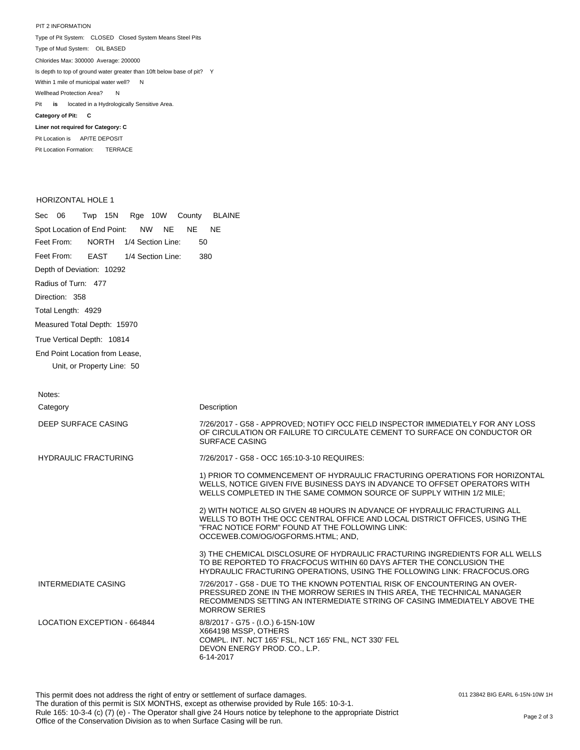PIT 2 INFORMATION Type of Pit System: CLOSED Closed System Means Steel Pits Type of Mud System: OIL BASED Pit **is** located in a Hydrologically Sensitive Area. **Category of Pit: C Liner not required for Category: C** Pit Location is AP/TE DEPOSIT Chlorides Max: 300000 Average: 200000 Is depth to top of ground water greater than 10ft below base of pit? Y Within 1 mile of municipal water well? N Wellhead Protection Area? N

Pit Location Formation: TERRACE

## HORIZONTAL HOLE 1

Sec 06 Twp 15N Rge 10W County BLAINE Spot Location of End Point: NW NE NE NE Feet From: Feet From: Depth of Deviation: 10292 Radius of Turn: 477 Direction: 358 Total Length: 4929 Measured Total Depth: 15970 True Vertical Depth: 10814 End Point Location from Lease, Unit, or Property Line: 50 NORTH 1/4 Section Line: 50 EAST 1/4 Section Line: 380

| Notes:                             |                                                                                                                                                                                                                                                            |
|------------------------------------|------------------------------------------------------------------------------------------------------------------------------------------------------------------------------------------------------------------------------------------------------------|
| Category                           | Description                                                                                                                                                                                                                                                |
| DEEP SURFACE CASING                | 7/26/2017 - G58 - APPROVED; NOTIFY OCC FIELD INSPECTOR IMMEDIATELY FOR ANY LOSS<br>OF CIRCULATION OR FAILURE TO CIRCULATE CEMENT TO SURFACE ON CONDUCTOR OR<br><b>SURFACE CASING</b>                                                                       |
| <b>HYDRAULIC FRACTURING</b>        | 7/26/2017 - G58 - OCC 165:10-3-10 REQUIRES:                                                                                                                                                                                                                |
|                                    | 1) PRIOR TO COMMENCEMENT OF HYDRAULIC FRACTURING OPERATIONS FOR HORIZONTAL<br>WELLS, NOTICE GIVEN FIVE BUSINESS DAYS IN ADVANCE TO OFFSET OPERATORS WITH<br>WELLS COMPLETED IN THE SAME COMMON SOURCE OF SUPPLY WITHIN 1/2 MILE:                           |
|                                    | 2) WITH NOTICE ALSO GIVEN 48 HOURS IN ADVANCE OF HYDRAULIC FRACTURING ALL<br>WELLS TO BOTH THE OCC CENTRAL OFFICE AND LOCAL DISTRICT OFFICES, USING THE<br>"FRAC NOTICE FORM" FOUND AT THE FOLLOWING LINK:<br>OCCEWEB.COM/OG/OGFORMS.HTML; AND,            |
|                                    | 3) THE CHEMICAL DISCLOSURE OF HYDRAULIC FRACTURING INGREDIENTS FOR ALL WELLS<br>TO BE REPORTED TO FRACFOCUS WITHIN 60 DAYS AFTER THE CONCLUSION THE<br>HYDRAULIC FRACTURING OPERATIONS, USING THE FOLLOWING LINK: FRACFOCUS.ORG                            |
| <b>INTERMEDIATE CASING</b>         | 7/26/2017 - G58 - DUE TO THE KNOWN POTENTIAL RISK OF ENCOUNTERING AN OVER-<br>PRESSURED ZONE IN THE MORROW SERIES IN THIS AREA. THE TECHNICAL MANAGER<br>RECOMMENDS SETTING AN INTERMEDIATE STRING OF CASING IMMEDIATELY ABOVE THE<br><b>MORROW SERIES</b> |
| <b>LOCATION EXCEPTION - 664844</b> | 8/8/2017 - G75 - (I.O.) 6-15N-10W<br>X664198 MSSP, OTHERS<br>COMPL. INT. NCT 165' FSL, NCT 165' FNL, NCT 330' FEL<br>DEVON ENERGY PROD. CO., L.P.<br>6-14-2017                                                                                             |

011 23842 BIG EARL 6-15N-10W 1H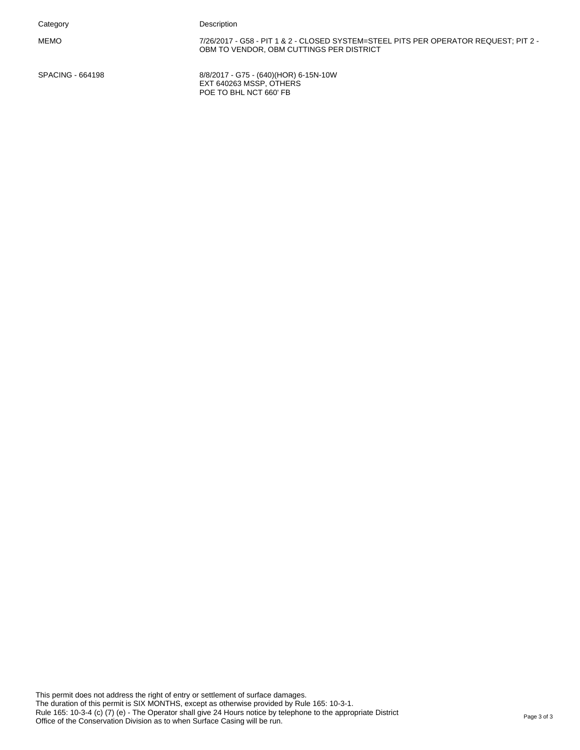MEMO 7/26/2017 - G58 - PIT 1 & 2 - CLOSED SYSTEM=STEEL PITS PER OPERATOR REQUEST; PIT 2 - OBM TO VENDOR, OBM CUTTINGS PER DISTRICT

SPACING - 664198 8/8/2017 - G75 - (640)(HOR) 6-15N-10W EXT 640263 MSSP, OTHERS POE TO BHL NCT 660' FB